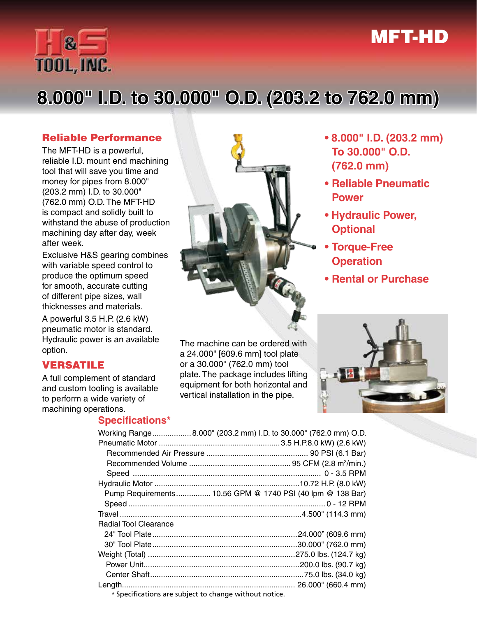## MFT-HD



# **8.000" I.D. to 30.000" O.D. (203.2 to 762.0 mm)**

#### Reliable Performance

The MFT-HD is a powerful, reliable I.D. mount end machining tool that will save you time and money for pipes from 8.000" (203.2 mm) I.D. to 30.000" (762.0 mm) O.D. The MFT-HD is compact and solidly built to withstand the abuse of production machining day after day, week after week.

Exclusive H&S gearing combines with variable speed control to produce the optimum speed for smooth, accurate cutting of different pipe sizes, wall thicknesses and materials.

A powerful 3.5 H.P. (2.6 kW) pneumatic motor is standard. Hydraulic power is an available option.

#### VERSATILE

A full complement of standard and custom tooling is available to perform a wide variety of machining operations.

#### **Specifications\***



The machine can be ordered with a 24.000" [609.6 mm] tool plate or a 30.000" (762.0 mm) tool plate. The package includes lifting equipment for both horizontal and vertical installation in the pipe.

- **8.000" I.D. (203.2 mm) To 30.000" O.D. (762.0 mm)**
- **• Reliable Pneumatic Power**
- **Hydraulic Power, Optional**
- **• Torque-Free Operation**
- **• Rental or Purchase**

| Working Range 8.000" (203.2 mm) I.D. to 30.000" (762.0 mm) O.D. |                    |
|-----------------------------------------------------------------|--------------------|
|                                                                 |                    |
|                                                                 |                    |
|                                                                 |                    |
|                                                                 |                    |
|                                                                 |                    |
| Pump Requirements 10.56 GPM @ 1740 PSI (40 lpm @ 138 Bar)       |                    |
|                                                                 |                    |
|                                                                 |                    |
| Radial Tool Clearance                                           |                    |
|                                                                 |                    |
|                                                                 |                    |
|                                                                 |                    |
|                                                                 |                    |
|                                                                 |                    |
|                                                                 | 26.000" (660.4 mm) |
| * Specifications are subject to change without notice.          |                    |